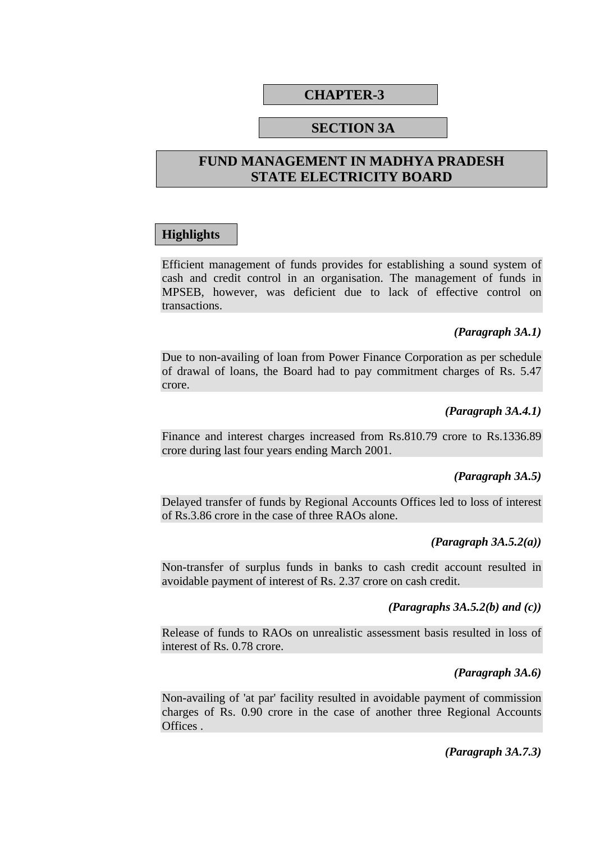# **CHAPTER-3**

## **SECTION 3A**

# **FUND MANAGEMENT IN MADHYA PRADESH STATE ELECTRICITY BOARD**

## **Highlights**

Efficient management of funds provides for establishing a sound system of cash and credit control in an organisation. The management of funds in MPSEB, however, was deficient due to lack of effective control on transactions.

#### *(Paragraph 3A.1)*

Due to non-availing of loan from Power Finance Corporation as per schedule of drawal of loans, the Board had to pay commitment charges of Rs. 5.47 crore.

#### *(Paragraph 3A.4.1)*

Finance and interest charges increased from Rs.810.79 crore to Rs.1336.89 crore during last four years ending March 2001.

#### *(Paragraph 3A.5)*

Delayed transfer of funds by Regional Accounts Offices led to loss of interest of Rs.3.86 crore in the case of three RAOs alone.

#### *(Paragraph 3A.5.2(a))*

Non-transfer of surplus funds in banks to cash credit account resulted in avoidable payment of interest of Rs. 2.37 crore on cash credit.

#### *(Paragraphs 3A.5.2(b) and (c))*

Release of funds to RAOs on unrealistic assessment basis resulted in loss of interest of Rs. 0.78 crore.

#### *(Paragraph 3A.6)*

Non-availing of 'at par' facility resulted in avoidable payment of commission charges of Rs. 0.90 crore in the case of another three Regional Accounts Offices .

*(Paragraph 3A.7.3)*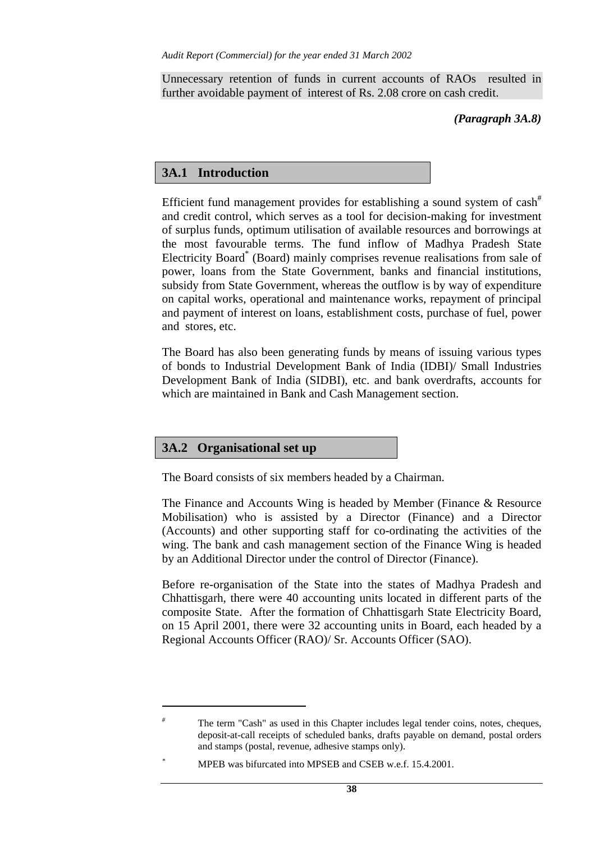Unnecessary retention of funds in current accounts of RAOs resulted in further avoidable payment of interest of Rs. 2.08 crore on cash credit.

#### *(Paragraph 3A.8)*

# **3A.1 Introduction**

Efficient fund management provides for establishing a sound system of  $\cosh^{\#}$ and credit control, which serves as a tool for decision-making for investment of surplus funds, optimum utilisation of available resources and borrowings at the most favourable terms. The fund inflow of Madhya Pradesh State Electricity Board<sup>\*</sup> (Board) mainly comprises revenue realisations from sale of power, loans from the State Government, banks and financial institutions, subsidy from State Government, whereas the outflow is by way of expenditure on capital works, operational and maintenance works, repayment of principal and payment of interest on loans, establishment costs, purchase of fuel, power and stores, etc.

The Board has also been generating funds by means of issuing various types of bonds to Industrial Development Bank of India (IDBI)/ Small Industries Development Bank of India (SIDBI), etc. and bank overdrafts, accounts for which are maintained in Bank and Cash Management section.

# **3A.2 Organisational set up**

 $\overline{a}$ 

The Board consists of six members headed by a Chairman.

The Finance and Accounts Wing is headed by Member (Finance & Resource Mobilisation) who is assisted by a Director (Finance) and a Director (Accounts) and other supporting staff for co-ordinating the activities of the wing. The bank and cash management section of the Finance Wing is headed by an Additional Director under the control of Director (Finance).

Before re-organisation of the State into the states of Madhya Pradesh and Chhattisgarh, there were 40 accounting units located in different parts of the composite State. After the formation of Chhattisgarh State Electricity Board, on 15 April 2001, there were 32 accounting units in Board, each headed by a Regional Accounts Officer (RAO)/ Sr. Accounts Officer (SAO).

*<sup>#</sup>* The term "Cash" as used in this Chapter includes legal tender coins, notes, cheques, deposit-at-call receipts of scheduled banks, drafts payable on demand, postal orders and stamps (postal, revenue, adhesive stamps only).

*<sup>\*</sup>* MPEB was bifurcated into MPSEB and CSEB w.e.f. 15.4.2001.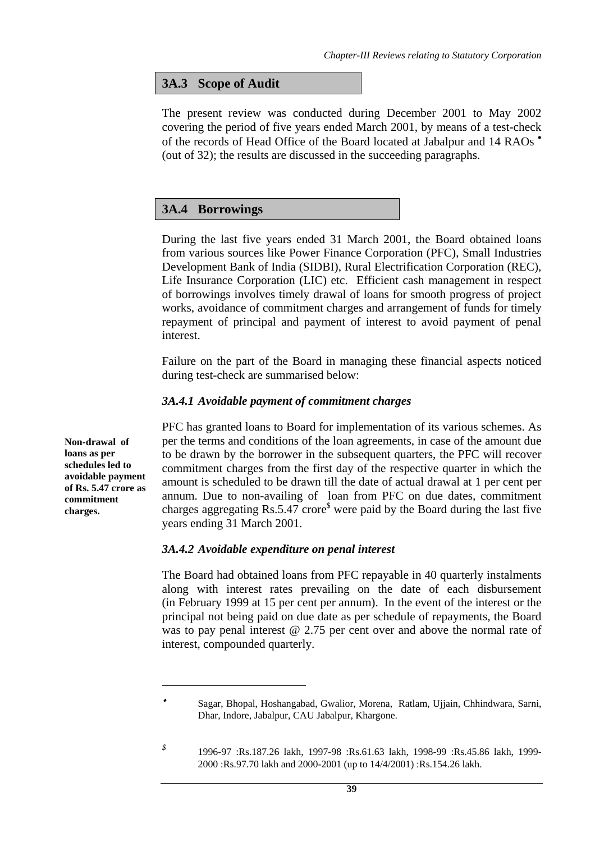# **3A.3 Scope of Audit**

The present review was conducted during December 2001 to May 2002 covering the period of five years ended March 2001, by means of a test-check of the records of Head Office of the Board located at Jabalpur and 14 RAOs • (out of 32); the results are discussed in the succeeding paragraphs.

## **3A.4 Borrowings**

During the last five years ended 31 March 2001, the Board obtained loans from various sources like Power Finance Corporation (PFC), Small Industries Development Bank of India (SIDBI), Rural Electrification Corporation (REC), Life Insurance Corporation (LIC) etc. Efficient cash management in respect of borrowings involves timely drawal of loans for smooth progress of project works, avoidance of commitment charges and arrangement of funds for timely repayment of principal and payment of interest to avoid payment of penal interest.

Failure on the part of the Board in managing these financial aspects noticed during test-check are summarised below:

#### *3A.4.1 Avoidable payment of commitment charges*

PFC has granted loans to Board for implementation of its various schemes. As per the terms and conditions of the loan agreements, in case of the amount due to be drawn by the borrower in the subsequent quarters, the PFC will recover commitment charges from the first day of the respective quarter in which the amount is scheduled to be drawn till the date of actual drawal at 1 per cent per annum. Due to non-availing of loan from PFC on due dates, commitment charges aggregating Rs.5.47 crore<sup>\$</sup> were paid by the Board during the last five years ending 31 March 2001.

## *3A.4.2 Avoidable expenditure on penal interest*

The Board had obtained loans from PFC repayable in 40 quarterly instalments along with interest rates prevailing on the date of each disbursement (in February 1999 at 15 per cent per annum). In the event of the interest or the principal not being paid on due date as per schedule of repayments, the Board was to pay penal interest @ 2.75 per cent over and above the normal rate of interest, compounded quarterly.

**Non-drawal of loans as per schedules led to avoidable payment of Rs. 5.47 crore as commitment charges.** 

Sagar, Bhopal, Hoshangabad, Gwalior, Morena, Ratlam, Ujjain, Chhindwara, Sarni, Dhar, Indore, Jabalpur, CAU Jabalpur, Khargone.

*<sup>\$</sup>* 1996-97 :Rs.187.26 lakh, 1997-98 :Rs.61.63 lakh, 1998-99 :Rs.45.86 lakh, 1999- 2000 :Rs.97.70 lakh and 2000-2001 (up to 14/4/2001) :Rs.154.26 lakh.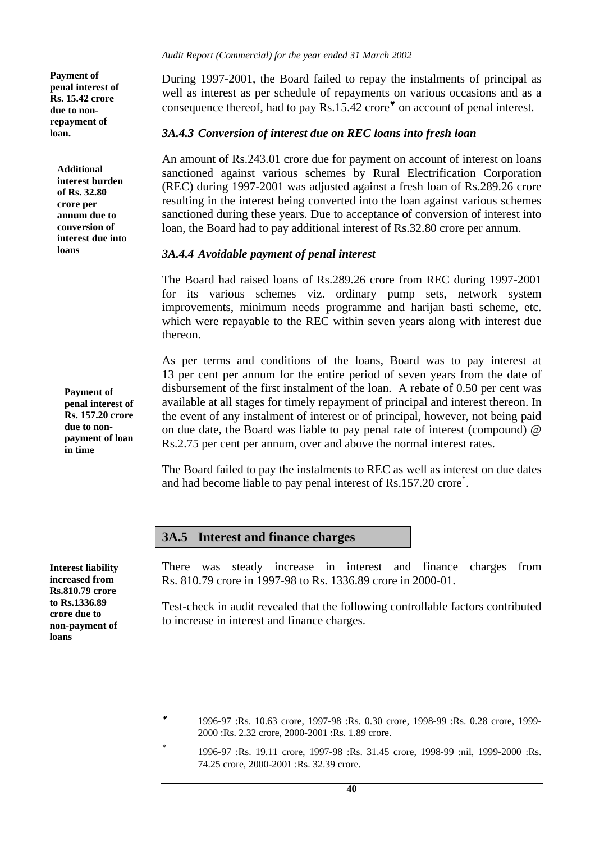**Payment of penal interest of Rs. 15.42 crore due to nonrepayment of loan.** 

**Additional interest burden of Rs. 32.80 crore per annum due to conversion of interest due into loans** 

**Payment of penal interest of Rs. 157.20 crore due to nonpayment of loan in time** 

**Interest liability increased from Rs.810.79 crore to Rs.1336.89 crore due to non-payment of loans** 

 $\overline{a}$ 

*Audit Report (Commercial) for the year ended 31 March 2002* 

During 1997-2001, the Board failed to repay the instalments of principal as well as interest as per schedule of repayments on various occasions and as a consequence thereof, had to pay Rs.15.42 crore<sup>\*</sup> on account of penal interest.

#### *3A.4.3 Conversion of interest due on REC loans into fresh loan*

An amount of Rs.243.01 crore due for payment on account of interest on loans sanctioned against various schemes by Rural Electrification Corporation (REC) during 1997-2001 was adjusted against a fresh loan of Rs.289.26 crore resulting in the interest being converted into the loan against various schemes sanctioned during these years. Due to acceptance of conversion of interest into loan, the Board had to pay additional interest of Rs.32.80 crore per annum.

#### *3A.4.4 Avoidable payment of penal interest*

The Board had raised loans of Rs.289.26 crore from REC during 1997-2001 for its various schemes viz. ordinary pump sets, network system improvements, minimum needs programme and harijan basti scheme, etc. which were repayable to the REC within seven years along with interest due thereon.

As per terms and conditions of the loans, Board was to pay interest at 13 per cent per annum for the entire period of seven years from the date of disbursement of the first instalment of the loan. A rebate of 0.50 per cent was available at all stages for timely repayment of principal and interest thereon. In the event of any instalment of interest or of principal, however, not being paid on due date, the Board was liable to pay penal rate of interest (compound) @ Rs.2.75 per cent per annum, over and above the normal interest rates.

The Board failed to pay the instalments to REC as well as interest on due dates and had become liable to pay penal interest of Rs.157.20 crore\* .

## **3A.5 Interest and finance charges**

There was steady increase in interest and finance charges from Rs. 810.79 crore in 1997-98 to Rs. 1336.89 crore in 2000-01.

Test-check in audit revealed that the following controllable factors contributed to increase in interest and finance charges.

<sup>♥</sup> 1996-97 :Rs. 10.63 crore, 1997-98 :Rs. 0.30 crore, 1998-99 :Rs. 0.28 crore, 1999- 2000 :Rs. 2.32 crore, 2000-2001 :Rs. 1.89 crore.

*<sup>\*</sup>* 1996-97 :Rs. 19.11 crore, 1997-98 :Rs. 31.45 crore, 1998-99 :nil, 1999-2000 :Rs. 74.25 crore, 2000-2001 :Rs. 32.39 crore.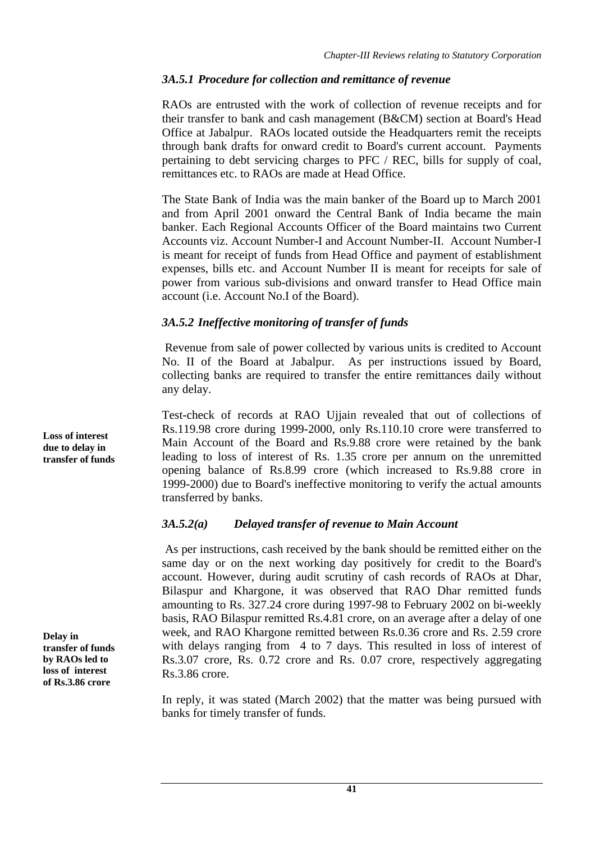# *3A.5.1 Procedure for collection and remittance of revenue*

RAOs are entrusted with the work of collection of revenue receipts and for their transfer to bank and cash management (B&CM) section at Board's Head Office at Jabalpur. RAOs located outside the Headquarters remit the receipts through bank drafts for onward credit to Board's current account. Payments pertaining to debt servicing charges to PFC / REC, bills for supply of coal, remittances etc. to RAOs are made at Head Office.

The State Bank of India was the main banker of the Board up to March 2001 and from April 2001 onward the Central Bank of India became the main banker. Each Regional Accounts Officer of the Board maintains two Current Accounts viz. Account Number-I and Account Number-II. Account Number-I is meant for receipt of funds from Head Office and payment of establishment expenses, bills etc. and Account Number II is meant for receipts for sale of power from various sub-divisions and onward transfer to Head Office main account (i.e. Account No.I of the Board).

# *3A.5.2 Ineffective monitoring of transfer of funds*

 Revenue from sale of power collected by various units is credited to Account No. II of the Board at Jabalpur. As per instructions issued by Board, collecting banks are required to transfer the entire remittances daily without any delay.

Test-check of records at RAO Ujjain revealed that out of collections of Rs.119.98 crore during 1999-2000, only Rs.110.10 crore were transferred to Main Account of the Board and Rs.9.88 crore were retained by the bank leading to loss of interest of Rs. 1.35 crore per annum on the unremitted opening balance of Rs.8.99 crore (which increased to Rs.9.88 crore in 1999-2000) due to Board's ineffective monitoring to verify the actual amounts transferred by banks.

# *3A.5.2(a) Delayed transfer of revenue to Main Account*

 As per instructions, cash received by the bank should be remitted either on the same day or on the next working day positively for credit to the Board's account. However, during audit scrutiny of cash records of RAOs at Dhar, Bilaspur and Khargone, it was observed that RAO Dhar remitted funds amounting to Rs. 327.24 crore during 1997-98 to February 2002 on bi-weekly basis, RAO Bilaspur remitted Rs.4.81 crore, on an average after a delay of one week, and RAO Khargone remitted between Rs.0.36 crore and Rs. 2.59 crore with delays ranging from 4 to 7 days. This resulted in loss of interest of Rs.3.07 crore, Rs. 0.72 crore and Rs. 0.07 crore, respectively aggregating Rs.3.86 crore.

In reply, it was stated (March 2002) that the matter was being pursued with banks for timely transfer of funds.

**Loss of interest due to delay in transfer of funds** 

**Delay in transfer of funds by RAOs led to loss of interest of Rs.3.86 crore**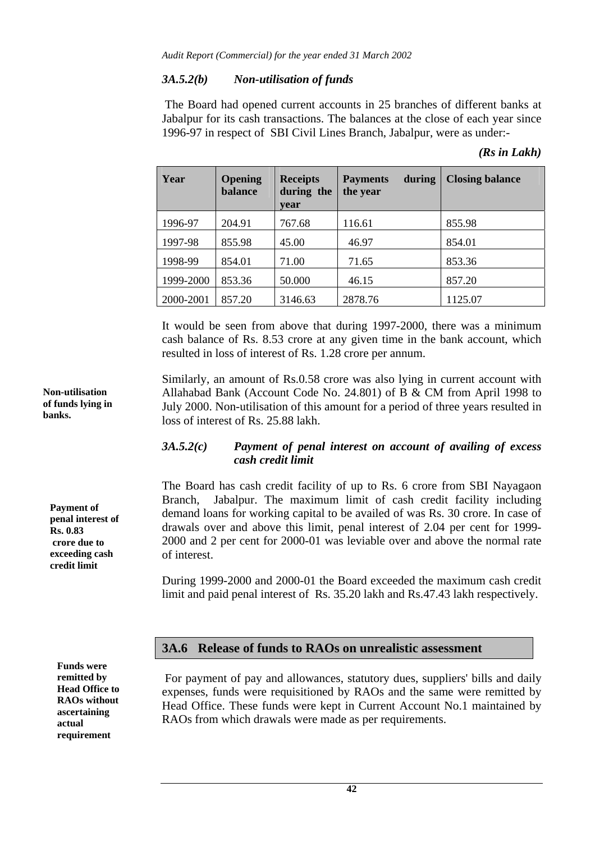## *3A.5.2(b) Non-utilisation of funds*

 The Board had opened current accounts in 25 branches of different banks at Jabalpur for its cash transactions. The balances at the close of each year since 1996-97 in respect of SBI Civil Lines Branch, Jabalpur, were as under:-

| Year      | Opening<br><b>balance</b> | <b>Receipts</b><br>during the<br>vear | during<br><b>Payments</b><br>the year | <b>Closing balance</b> |
|-----------|---------------------------|---------------------------------------|---------------------------------------|------------------------|
| 1996-97   | 204.91                    | 767.68                                | 116.61                                | 855.98                 |
| 1997-98   | 855.98                    | 45.00                                 | 46.97                                 | 854.01                 |
| 1998-99   | 854.01                    | 71.00                                 | 71.65                                 | 853.36                 |
| 1999-2000 | 853.36                    | 50.000                                | 46.15                                 | 857.20                 |
| 2000-2001 | 857.20                    | 3146.63                               | 2878.76                               | 1125.07                |

*(Rs in Lakh)* 

It would be seen from above that during 1997-2000, there was a minimum cash balance of Rs. 8.53 crore at any given time in the bank account, which resulted in loss of interest of Rs. 1.28 crore per annum.

Similarly, an amount of Rs.0.58 crore was also lying in current account with Allahabad Bank (Account Code No. 24.801) of B & CM from April 1998 to July 2000. Non-utilisation of this amount for a period of three years resulted in loss of interest of Rs. 25.88 lakh.

## *3A.5.2(c) Payment of penal interest on account of availing of excess cash credit limit*

The Board has cash credit facility of up to Rs. 6 crore from SBI Nayagaon Branch, Jabalpur. The maximum limit of cash credit facility including demand loans for working capital to be availed of was Rs. 30 crore. In case of drawals over and above this limit, penal interest of 2.04 per cent for 1999- 2000 and 2 per cent for 2000-01 was leviable over and above the normal rate of interest.

During 1999-2000 and 2000-01 the Board exceeded the maximum cash credit limit and paid penal interest of Rs. 35.20 lakh and Rs.47.43 lakh respectively.

## **3A.6 Release of funds to RAOs on unrealistic assessment**

For payment of pay and allowances, statutory dues, suppliers' bills and daily expenses, funds were requisitioned by RAOs and the same were remitted by Head Office. These funds were kept in Current Account No.1 maintained by RAOs from which drawals were made as per requirements.

**Non-utilisation of funds lying in banks.** 

**Payment of penal interest of Rs. 0.83 crore due to exceeding cash credit limit** 

**Funds were remitted by Head Office to RAOs without ascertaining actual requirement**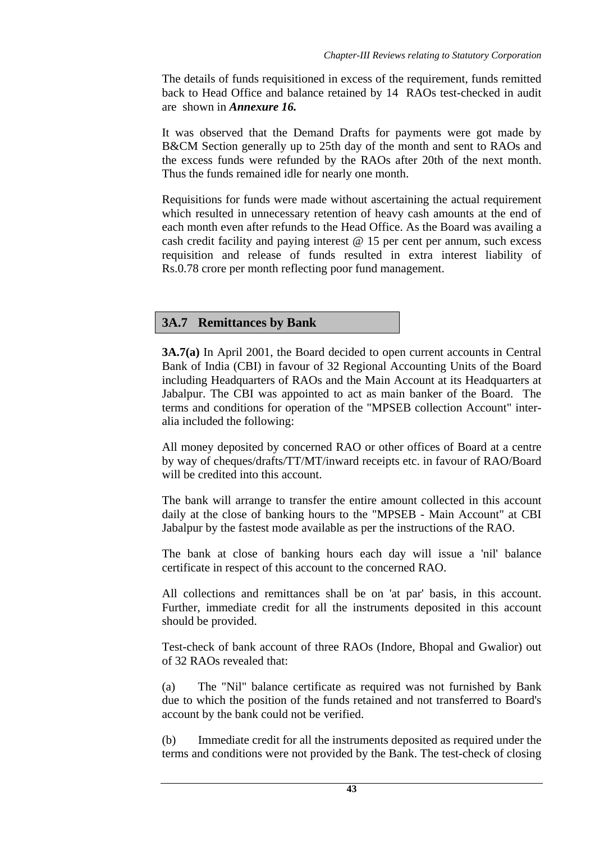The details of funds requisitioned in excess of the requirement, funds remitted back to Head Office and balance retained by 14 RAOs test-checked in audit are shown in *Annexure 16.*

It was observed that the Demand Drafts for payments were got made by B&CM Section generally up to 25th day of the month and sent to RAOs and the excess funds were refunded by the RAOs after 20th of the next month. Thus the funds remained idle for nearly one month.

Requisitions for funds were made without ascertaining the actual requirement which resulted in unnecessary retention of heavy cash amounts at the end of each month even after refunds to the Head Office. As the Board was availing a cash credit facility and paying interest  $@$  15 per cent per annum, such excess requisition and release of funds resulted in extra interest liability of Rs.0.78 crore per month reflecting poor fund management.

# **3A.7 Remittances by Bank**

**3A.7(a)** In April 2001, the Board decided to open current accounts in Central Bank of India (CBI) in favour of 32 Regional Accounting Units of the Board including Headquarters of RAOs and the Main Account at its Headquarters at Jabalpur. The CBI was appointed to act as main banker of the Board. The terms and conditions for operation of the "MPSEB collection Account" interalia included the following:

All money deposited by concerned RAO or other offices of Board at a centre by way of cheques/drafts/TT/MT/inward receipts etc. in favour of RAO/Board will be credited into this account.

The bank will arrange to transfer the entire amount collected in this account daily at the close of banking hours to the "MPSEB - Main Account" at CBI Jabalpur by the fastest mode available as per the instructions of the RAO.

The bank at close of banking hours each day will issue a 'nil' balance certificate in respect of this account to the concerned RAO.

All collections and remittances shall be on 'at par' basis, in this account. Further, immediate credit for all the instruments deposited in this account should be provided.

Test-check of bank account of three RAOs (Indore, Bhopal and Gwalior) out of 32 RAOs revealed that:

(a) The "Nil" balance certificate as required was not furnished by Bank due to which the position of the funds retained and not transferred to Board's account by the bank could not be verified.

(b) Immediate credit for all the instruments deposited as required under the terms and conditions were not provided by the Bank. The test-check of closing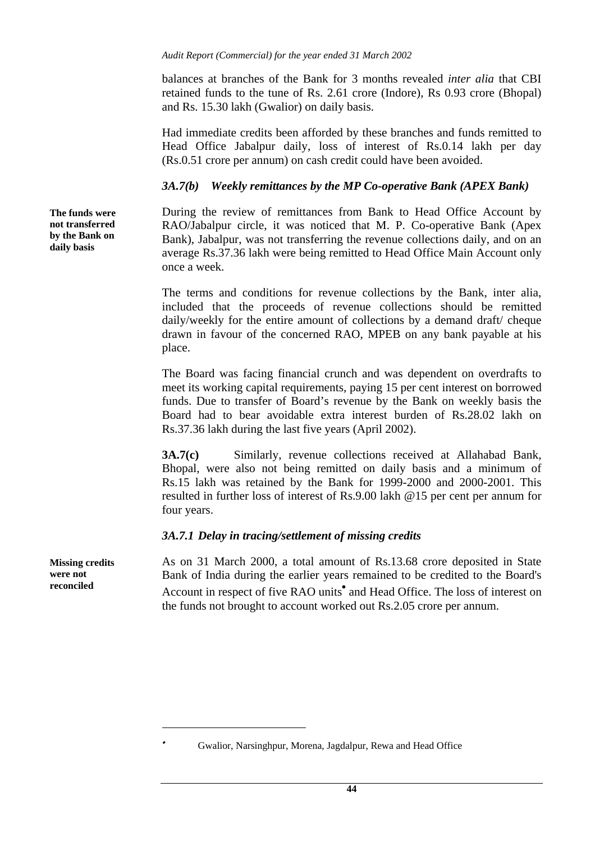balances at branches of the Bank for 3 months revealed *inter alia* that CBI retained funds to the tune of Rs. 2.61 crore (Indore), Rs 0.93 crore (Bhopal) and Rs. 15.30 lakh (Gwalior) on daily basis.

Had immediate credits been afforded by these branches and funds remitted to Head Office Jabalpur daily, loss of interest of Rs.0.14 lakh per day (Rs.0.51 crore per annum) on cash credit could have been avoided.

## *3A.7(b) Weekly remittances by the MP Co-operative Bank (APEX Bank)*

During the review of remittances from Bank to Head Office Account by RAO/Jabalpur circle, it was noticed that M. P. Co-operative Bank (Apex Bank), Jabalpur, was not transferring the revenue collections daily, and on an average Rs.37.36 lakh were being remitted to Head Office Main Account only once a week.

The terms and conditions for revenue collections by the Bank, inter alia, included that the proceeds of revenue collections should be remitted daily/weekly for the entire amount of collections by a demand draft/ cheque drawn in favour of the concerned RAO, MPEB on any bank payable at his place.

The Board was facing financial crunch and was dependent on overdrafts to meet its working capital requirements, paying 15 per cent interest on borrowed funds. Due to transfer of Board's revenue by the Bank on weekly basis the Board had to bear avoidable extra interest burden of Rs.28.02 lakh on Rs.37.36 lakh during the last five years (April 2002).

**3A.7(c)** Similarly, revenue collections received at Allahabad Bank, Bhopal, were also not being remitted on daily basis and a minimum of Rs.15 lakh was retained by the Bank for 1999-2000 and 2000-2001. This resulted in further loss of interest of Rs.9.00 lakh @15 per cent per annum for four years.

#### *3A.7.1 Delay in tracing/settlement of missing credits*

As on 31 March 2000, a total amount of Rs.13.68 crore deposited in State Bank of India during the earlier years remained to be credited to the Board's Account in respect of five RAO units<sup>•</sup> and Head Office. The loss of interest on the funds not brought to account worked out Rs.2.05 crore per annum.

**The funds were not transferred by the Bank on daily basis** 

**Missing credits were not reconciled** 

<sup>•</sup>Gwalior, Narsinghpur, Morena, Jagdalpur, Rewa and Head Office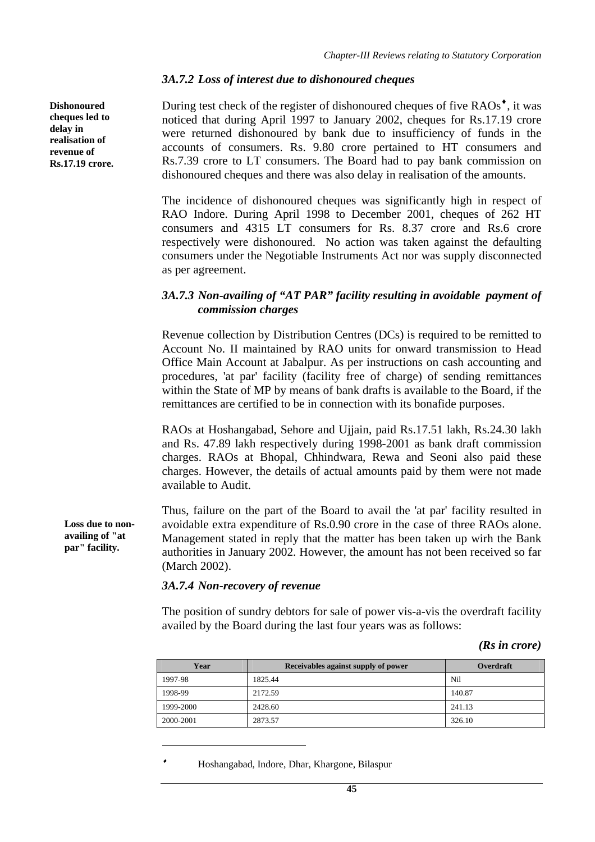#### *3A.7.2 Loss of interest due to dishonoured cheques*

During test check of the register of dishonoured cheques of five RAOs<sup> $\bullet$ </sup>, it was noticed that during April 1997 to January 2002, cheques for Rs.17.19 crore were returned dishonoured by bank due to insufficiency of funds in the accounts of consumers. Rs. 9.80 crore pertained to HT consumers and Rs.7.39 crore to LT consumers. The Board had to pay bank commission on dishonoured cheques and there was also delay in realisation of the amounts.

The incidence of dishonoured cheques was significantly high in respect of RAO Indore. During April 1998 to December 2001, cheques of 262 HT consumers and 4315 LT consumers for Rs. 8.37 crore and Rs.6 crore respectively were dishonoured. No action was taken against the defaulting consumers under the Negotiable Instruments Act nor was supply disconnected as per agreement.

#### *3A.7.3 Non-availing of "AT PAR" facility resulting in avoidable payment of commission charges*

Revenue collection by Distribution Centres (DCs) is required to be remitted to Account No. II maintained by RAO units for onward transmission to Head Office Main Account at Jabalpur. As per instructions on cash accounting and procedures, 'at par' facility (facility free of charge) of sending remittances within the State of MP by means of bank drafts is available to the Board, if the remittances are certified to be in connection with its bonafide purposes.

RAOs at Hoshangabad, Sehore and Ujjain, paid Rs.17.51 lakh, Rs.24.30 lakh and Rs. 47.89 lakh respectively during 1998-2001 as bank draft commission charges. RAOs at Bhopal, Chhindwara, Rewa and Seoni also paid these charges. However, the details of actual amounts paid by them were not made available to Audit.

Thus, failure on the part of the Board to avail the 'at par' facility resulted in avoidable extra expenditure of Rs.0.90 crore in the case of three RAOs alone. Management stated in reply that the matter has been taken up wirh the Bank authorities in January 2002. However, the amount has not been received so far (March 2002).

#### *3A.7.4 Non-recovery of revenue*

The position of sundry debtors for sale of power vis-a-vis the overdraft facility availed by the Board during the last four years was as follows:

#### *(Rs in crore)*

| Year      | Receivables against supply of power | Overdraft |
|-----------|-------------------------------------|-----------|
| 1997-98   | 1825.44                             | Nil       |
| 1998-99   | 2172.59                             | 140.87    |
| 1999-2000 | 2428.60                             | 241.13    |
| 2000-2001 | 2873.57                             | 326.10    |

Hoshangabad, Indore, Dhar, Khargone, Bilaspur

**Dishonoured cheques led to delay in realisation of revenue of Rs.17.19 crore.** 

> **Loss due to nonavailing of "at par" facility.**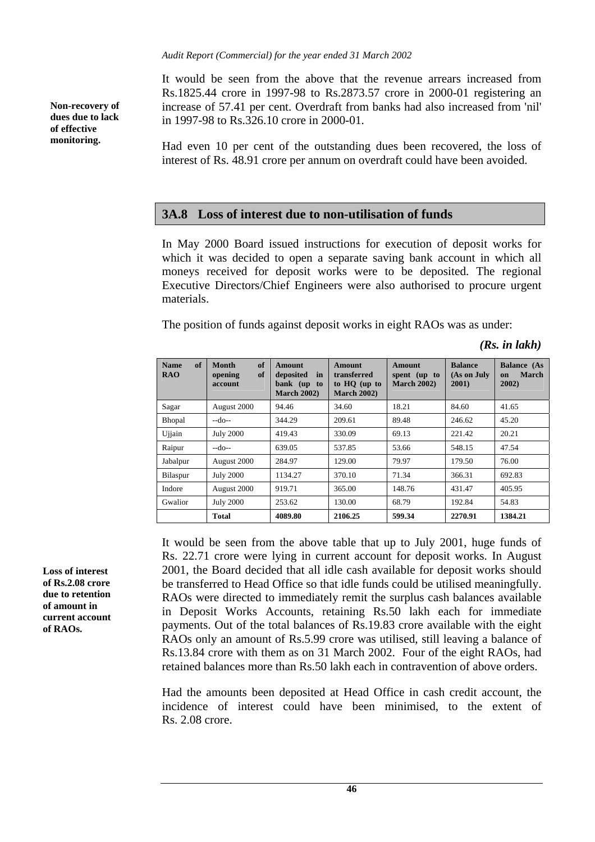*Audit Report (Commercial) for the year ended 31 March 2002* 

It would be seen from the above that the revenue arrears increased from Rs.1825.44 crore in 1997-98 to Rs.2873.57 crore in 2000-01 registering an increase of 57.41 per cent. Overdraft from banks had also increased from 'nil' in 1997-98 to Rs.326.10 crore in 2000-01.

Had even 10 per cent of the outstanding dues been recovered, the loss of interest of Rs. 48.91 crore per annum on overdraft could have been avoided.

#### **3A.8 Loss of interest due to non-utilisation of funds**

In May 2000 Board issued instructions for execution of deposit works for which it was decided to open a separate saving bank account in which all moneys received for deposit works were to be deposited. The regional Executive Directors/Chief Engineers were also authorised to procure urgent materials.

The position of funds against deposit works in eight RAOs was as under:

*(Rs. in lakh)* 

| of<br><b>Name</b><br><b>RAO</b> | of<br><b>Month</b><br>of<br>opening<br>account | <b>Amount</b><br>deposited<br>in<br>bank (up to<br><b>March 2002)</b> | <b>Amount</b><br>transferred<br>to HO (up to<br><b>March 2002)</b> | Amount<br>spent (up to<br><b>March 2002</b> ) | <b>Balance</b><br>(As on July<br>2001 | <b>Balance (As</b><br><b>March</b><br><sub>on</sub><br>2002) |
|---------------------------------|------------------------------------------------|-----------------------------------------------------------------------|--------------------------------------------------------------------|-----------------------------------------------|---------------------------------------|--------------------------------------------------------------|
| Sagar                           | August 2000                                    | 94.46                                                                 | 34.60                                                              | 18.21                                         | 84.60                                 | 41.65                                                        |
| <b>Bhopal</b>                   | $-do-$                                         | 344.29                                                                | 209.61                                                             | 89.48                                         | 246.62                                | 45.20                                                        |
| Ujjain                          | <b>July 2000</b>                               | 419.43                                                                | 330.09                                                             | 69.13                                         | 221.42                                | 20.21                                                        |
| Raipur                          | $-do-$                                         | 639.05                                                                | 537.85                                                             | 53.66                                         | 548.15                                | 47.54                                                        |
| Jabalpur                        | August 2000                                    | 284.97                                                                | 129.00                                                             | 79.97                                         | 179.50                                | 76.00                                                        |
| Bilaspur                        | <b>July 2000</b>                               | 1134.27                                                               | 370.10                                                             | 71.34                                         | 366.31                                | 692.83                                                       |
| Indore                          | August 2000                                    | 919.71                                                                | 365.00                                                             | 148.76                                        | 431.47                                | 405.95                                                       |
| Gwalior                         | <b>July 2000</b>                               | 253.62                                                                | 130.00                                                             | 68.79                                         | 192.84                                | 54.83                                                        |
|                                 | <b>Total</b>                                   | 4089.80                                                               | 2106.25                                                            | 599.34                                        | 2270.91                               | 1384.21                                                      |

It would be seen from the above table that up to July 2001, huge funds of Rs. 22.71 crore were lying in current account for deposit works. In August 2001, the Board decided that all idle cash available for deposit works should be transferred to Head Office so that idle funds could be utilised meaningfully. RAOs were directed to immediately remit the surplus cash balances available in Deposit Works Accounts, retaining Rs.50 lakh each for immediate payments. Out of the total balances of Rs.19.83 crore available with the eight RAOs only an amount of Rs.5.99 crore was utilised, still leaving a balance of Rs.13.84 crore with them as on 31 March 2002. Four of the eight RAOs, had retained balances more than Rs.50 lakh each in contravention of above orders.

Had the amounts been deposited at Head Office in cash credit account, the incidence of interest could have been minimised, to the extent of Rs. 2.08 crore.

**Loss of interest of Rs.2.08 crore due to retention of amount in current account of RAOs.** 

**Non-recovery of dues due to lack of effective monitoring.**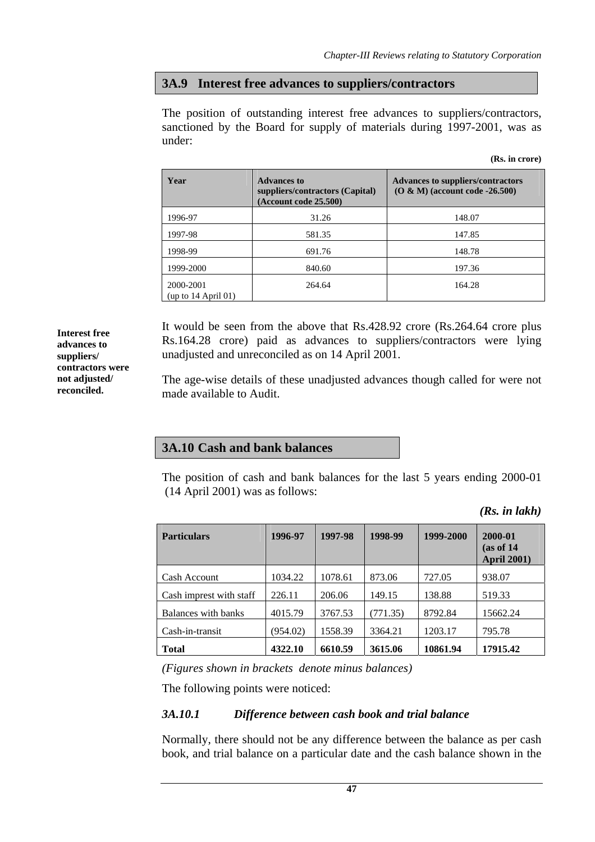# **3A.9 Interest free advances to suppliers/contractors**

The position of outstanding interest free advances to suppliers/contractors, sanctioned by the Board for supply of materials during 1997-2001, was as under:

|  |  | (Rs. in crore) |
|--|--|----------------|
|--|--|----------------|

| Year                               | <b>Advances to</b><br>suppliers/contractors (Capital)<br>(Account code 25.500) | <b>Advances to suppliers/contractors</b><br>$(O & M)$ (account code -26.500) |
|------------------------------------|--------------------------------------------------------------------------------|------------------------------------------------------------------------------|
| 1996-97                            | 31.26                                                                          | 148.07                                                                       |
| 1997-98                            | 581.35                                                                         | 147.85                                                                       |
| 1998-99                            | 691.76                                                                         | 148.78                                                                       |
| 1999-2000                          | 840.60                                                                         | 197.36                                                                       |
| 2000-2001<br>(up to $14$ April 01) | 264.64                                                                         | 164.28                                                                       |

It would be seen from the above that Rs.428.92 crore (Rs.264.64 crore plus Rs.164.28 crore) paid as advances to suppliers/contractors were lying unadjusted and unreconciled as on 14 April 2001.

The age-wise details of these unadjusted advances though called for were not made available to Audit.

# **3A.10 Cash and bank balances**

The position of cash and bank balances for the last 5 years ending 2000-01 (14 April 2001) was as follows:

*(Rs. in lakh)* 

| <b>Particulars</b>      | 1996-97  | 1997-98 | 1998-99  | 1999-2000 | 2000-01<br>(as of 14)<br><b>April 2001)</b> |
|-------------------------|----------|---------|----------|-----------|---------------------------------------------|
| Cash Account            | 1034.22  | 1078.61 | 873.06   | 727.05    | 938.07                                      |
| Cash imprest with staff | 226.11   | 206.06  | 149.15   | 138.88    | 519.33                                      |
| Balances with banks     | 4015.79  | 3767.53 | (771.35) | 8792.84   | 15662.24                                    |
| Cash-in-transit         | (954.02) | 1558.39 | 3364.21  | 1203.17   | 795.78                                      |
| <b>Total</b>            | 4322.10  | 6610.59 | 3615.06  | 10861.94  | 17915.42                                    |

*(Figures shown in brackets denote minus balances)* 

The following points were noticed:

# *3A.10.1 Difference between cash book and trial balance*

Normally, there should not be any difference between the balance as per cash book, and trial balance on a particular date and the cash balance shown in the

**Interest free advances to suppliers/ contractors were not adjusted/ reconciled.**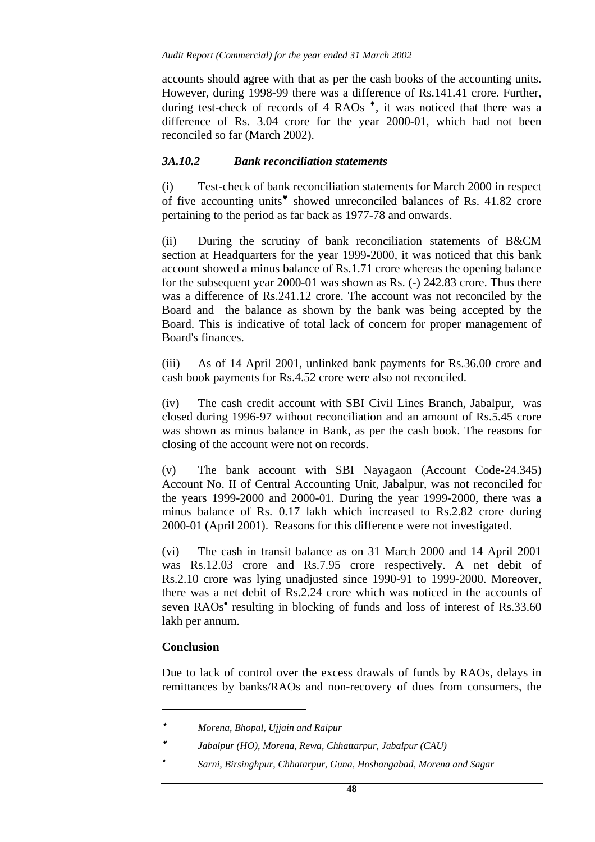accounts should agree with that as per the cash books of the accounting units. However, during 1998-99 there was a difference of Rs.141.41 crore. Further, during test-check of records of 4 RAOs<sup>\*</sup>, it was noticed that there was a difference of Rs. 3.04 crore for the year 2000-01, which had not been reconciled so far (March 2002).

#### *3A.10.2 Bank reconciliation statements*

(i) Test-check of bank reconciliation statements for March 2000 in respect of five accounting units♥ showed unreconciled balances of Rs. 41.82 crore pertaining to the period as far back as 1977-78 and onwards.

(ii) During the scrutiny of bank reconciliation statements of B&CM section at Headquarters for the year 1999-2000, it was noticed that this bank account showed a minus balance of Rs.1.71 crore whereas the opening balance for the subsequent year 2000-01 was shown as Rs. (-) 242.83 crore. Thus there was a difference of Rs.241.12 crore. The account was not reconciled by the Board and the balance as shown by the bank was being accepted by the Board. This is indicative of total lack of concern for proper management of Board's finances.

(iii) As of 14 April 2001, unlinked bank payments for Rs.36.00 crore and cash book payments for Rs.4.52 crore were also not reconciled.

(iv) The cash credit account with SBI Civil Lines Branch, Jabalpur, was closed during 1996-97 without reconciliation and an amount of Rs.5.45 crore was shown as minus balance in Bank, as per the cash book. The reasons for closing of the account were not on records.

(v)The bank account with SBI Nayagaon (Account Code-24.345) Account No. II of Central Accounting Unit, Jabalpur, was not reconciled for the years 1999-2000 and 2000-01. During the year 1999-2000, there was a minus balance of Rs. 0.17 lakh which increased to Rs.2.82 crore during 2000-01 (April 2001). Reasons for this difference were not investigated.

(vi)The cash in transit balance as on 31 March 2000 and 14 April 2001 was Rs.12.03 crore and Rs.7.95 crore respectively. A net debit of Rs.2.10 crore was lying unadjusted since 1990-91 to 1999-2000. Moreover, there was a net debit of Rs.2.24 crore which was noticed in the accounts of seven RAOs<sup>•</sup> resulting in blocking of funds and loss of interest of Rs.33.60 lakh per annum.

## **Conclusion**

Due to lack of control over the excess drawals of funds by RAOs, delays in remittances by banks/RAOs and non-recovery of dues from consumers, the

<sup>♦</sup> *Morena, Bhopal, Ujjain and Raipur* 

Jabalpur (HO), Morena, Rewa, Chhattarpur, Jabalpur (CAU)

<sup>•</sup> *Sarni, Birsinghpur, Chhatarpur, Guna, Hoshangabad, Morena and Sagar*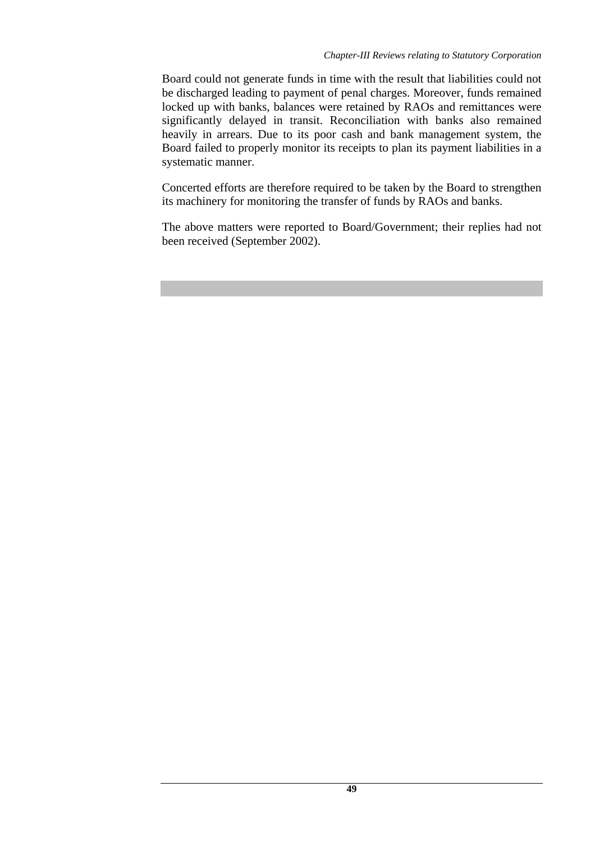Board could not generate funds in time with the result that liabilities could not be discharged leading to payment of penal charges. Moreover, funds remained locked up with banks, balances were retained by RAOs and remittances were significantly delayed in transit. Reconciliation with banks also remained heavily in arrears. Due to its poor cash and bank management system, the Board failed to properly monitor its receipts to plan its payment liabilities in a systematic manner.

Concerted efforts are therefore required to be taken by the Board to strengthen its machinery for monitoring the transfer of funds by RAOs and banks.

The above matters were reported to Board/Government; their replies had not been received (September 2002).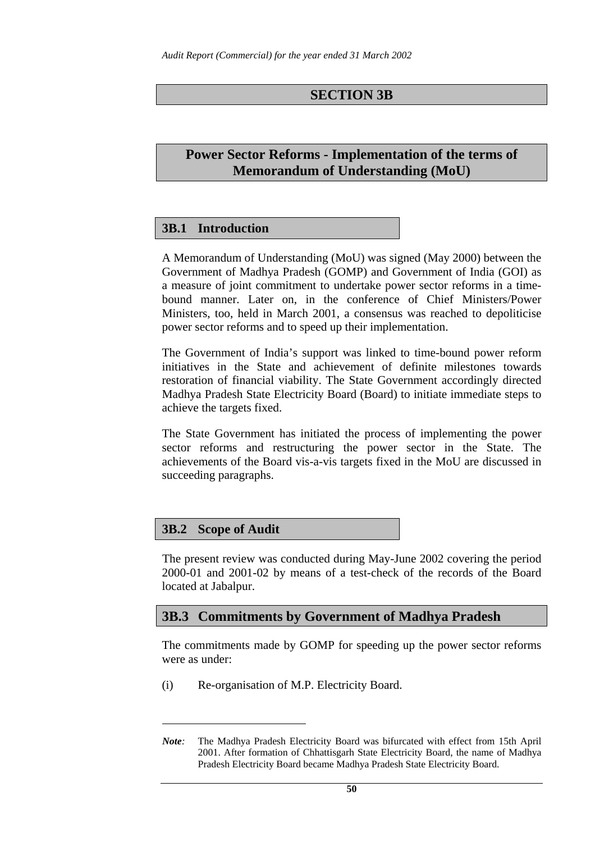# **SECTION 3B**

# **Power Sector Reforms - Implementation of the terms of Memorandum of Understanding (MoU)**

## **3B.1 Introduction**

A Memorandum of Understanding (MoU) was signed (May 2000) between the Government of Madhya Pradesh (GOMP) and Government of India (GOI) as a measure of joint commitment to undertake power sector reforms in a timebound manner. Later on, in the conference of Chief Ministers/Power Ministers, too, held in March 2001, a consensus was reached to depoliticise power sector reforms and to speed up their implementation.

The Government of India's support was linked to time-bound power reform initiatives in the State and achievement of definite milestones towards restoration of financial viability. The State Government accordingly directed Madhya Pradesh State Electricity Board (Board) to initiate immediate steps to achieve the targets fixed.

The State Government has initiated the process of implementing the power sector reforms and restructuring the power sector in the State. The achievements of the Board vis-a-vis targets fixed in the MoU are discussed in succeeding paragraphs.

## **3B.2 Scope of Audit**

 $\overline{a}$ 

. The present review was conducted during May-June 2002 covering the period 2000-01 and 2001-02 by means of a test-check of the records of the Board located at Jabalpur.

# **3B.3 Commitments by Government of Madhya Pradesh**

The commitments made by GOMP for speeding up the power sector reforms were as under:

(i) Re-organisation of M.P. Electricity Board.

*<sup>.</sup>Note:* The Madhya Pradesh Electricity Board was bifurcated with effect from 15th April 2001. After formation of Chhattisgarh State Electricity Board, the name of Madhya Pradesh Electricity Board became Madhya Pradesh State Electricity Board.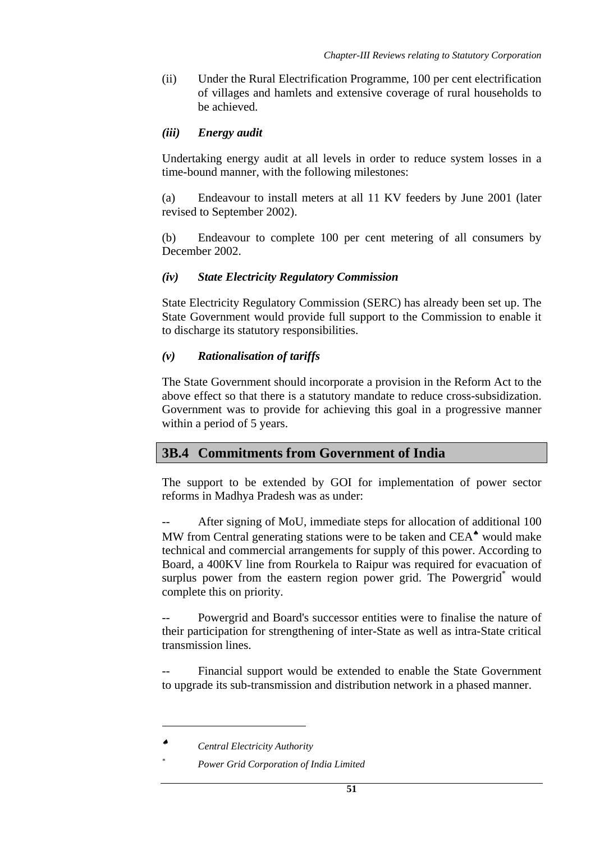(ii) Under the Rural Electrification Programme, 100 per cent electrification of villages and hamlets and extensive coverage of rural households to be achieved.

## *(iii) Energy audit*

Undertaking energy audit at all levels in order to reduce system losses in a time-bound manner, with the following milestones:

(a) Endeavour to install meters at all 11 KV feeders by June 2001 (later revised to September 2002).

(b) Endeavour to complete 100 per cent metering of all consumers by December 2002.

## *(iv) State Electricity Regulatory Commission*

State Electricity Regulatory Commission (SERC) has already been set up. The State Government would provide full support to the Commission to enable it to discharge its statutory responsibilities.

#### *(v) Rationalisation of tariffs*

The State Government should incorporate a provision in the Reform Act to the above effect so that there is a statutory mandate to reduce cross-subsidization. Government was to provide for achieving this goal in a progressive manner within a period of 5 years.

# **3B.4 Commitments from Government of India**

The support to be extended by GOI for implementation of power sector reforms in Madhya Pradesh was as under:

After signing of MoU, immediate steps for allocation of additional 100 MW from Central generating stations were to be taken and CEA<sup> $\bullet$ </sup> would make technical and commercial arrangements for supply of this power. According to Board, a 400KV line from Rourkela to Raipur was required for evacuation of surplus power from the eastern region power grid. The Powergrid<sup>\*</sup> would complete this on priority.

Powergrid and Board's successor entities were to finalise the nature of their participation for strengthening of inter-State as well as intra-State critical transmission lines.

Financial support would be extended to enable the State Government to upgrade its sub-transmission and distribution network in a phased manner.

<sup>♠</sup> *Central Electricity Authority*

*<sup>\*</sup> Power Grid Corporation of India Limited*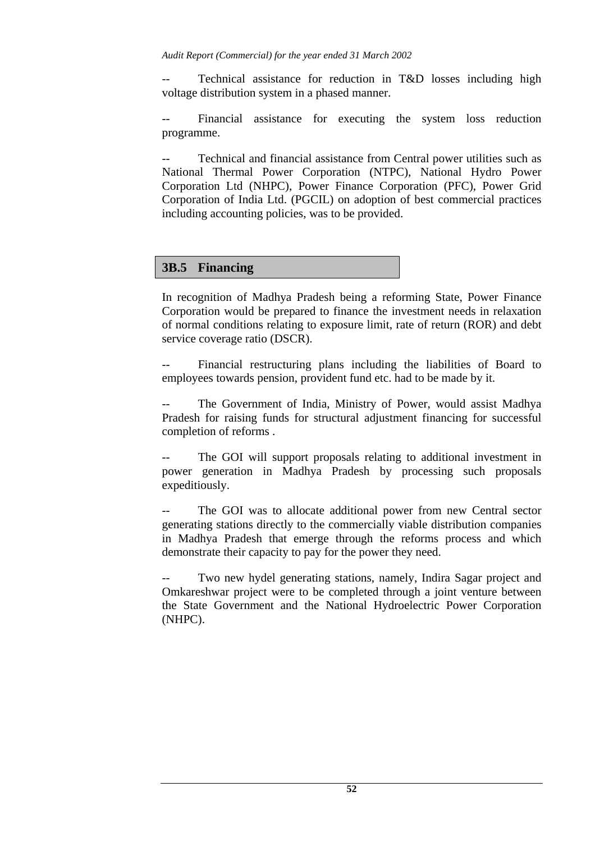Technical assistance for reduction in T&D losses including high voltage distribution system in a phased manner.

Financial assistance for executing the system loss reduction programme.

Technical and financial assistance from Central power utilities such as National Thermal Power Corporation (NTPC), National Hydro Power Corporation Ltd (NHPC), Power Finance Corporation (PFC), Power Grid Corporation of India Ltd. (PGCIL) on adoption of best commercial practices including accounting policies, was to be provided.

# **3B.5 Financing**

In recognition of Madhya Pradesh being a reforming State, Power Finance Corporation would be prepared to finance the investment needs in relaxation of normal conditions relating to exposure limit, rate of return (ROR) and debt service coverage ratio (DSCR).

Financial restructuring plans including the liabilities of Board to employees towards pension, provident fund etc. had to be made by it.

The Government of India, Ministry of Power, would assist Madhya Pradesh for raising funds for structural adjustment financing for successful completion of reforms .

The GOI will support proposals relating to additional investment in power generation in Madhya Pradesh by processing such proposals expeditiously.

The GOI was to allocate additional power from new Central sector generating stations directly to the commercially viable distribution companies in Madhya Pradesh that emerge through the reforms process and which demonstrate their capacity to pay for the power they need.

Two new hydel generating stations, namely, Indira Sagar project and Omkareshwar project were to be completed through a joint venture between the State Government and the National Hydroelectric Power Corporation (NHPC).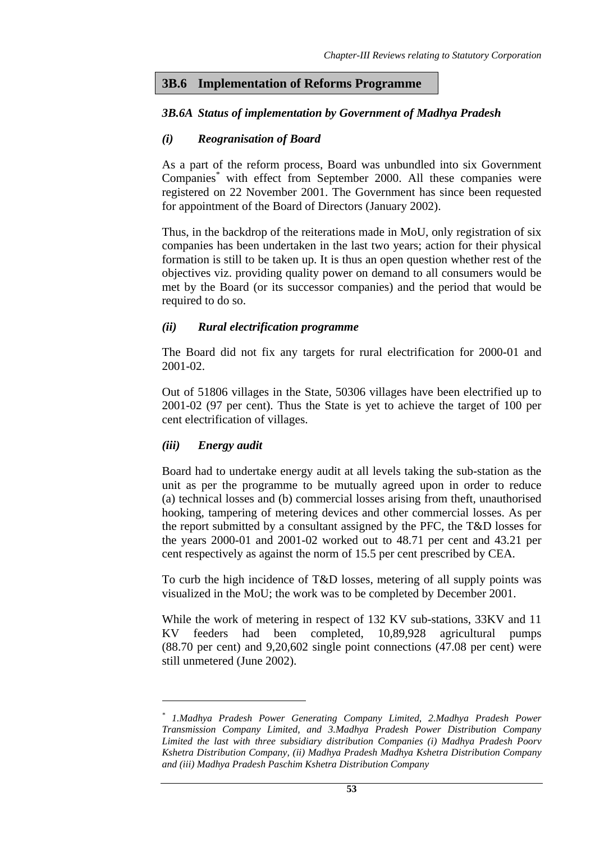#### **3B.6 Implementation of Reforms Programme**

#### *3B.6A Status of implementation by Government of Madhya Pradesh*

#### *(i) Reogranisation of Board*

As a part of the reform process, Board was unbundled into six Government Companies<sup>\*</sup> with effect from September 2000. All these companies were registered on 22 November 2001. The Government has since been requested for appointment of the Board of Directors (January 2002).

Thus, in the backdrop of the reiterations made in MoU, only registration of six companies has been undertaken in the last two years; action for their physical formation is still to be taken up. It is thus an open question whether rest of the objectives viz. providing quality power on demand to all consumers would be met by the Board (or its successor companies) and the period that would be required to do so.

#### *(ii) Rural electrification programme*

The Board did not fix any targets for rural electrification for 2000-01 and 2001-02.

Out of 51806 villages in the State, 50306 villages have been electrified up to 2001-02 (97 per cent). Thus the State is yet to achieve the target of 100 per cent electrification of villages.

#### *(iii) Energy audit*

 $\overline{a}$ 

Board had to undertake energy audit at all levels taking the sub-station as the unit as per the programme to be mutually agreed upon in order to reduce (a) technical losses and (b) commercial losses arising from theft, unauthorised hooking, tampering of metering devices and other commercial losses. As per the report submitted by a consultant assigned by the PFC, the T&D losses for the years 2000-01 and 2001-02 worked out to 48.71 per cent and 43.21 per cent respectively as against the norm of 15.5 per cent prescribed by CEA.

To curb the high incidence of T&D losses, metering of all supply points was visualized in the MoU; the work was to be completed by December 2001.

While the work of metering in respect of 132 KV sub-stations, 33KV and 11 KV feeders had been completed, 10,89,928 agricultural pumps (88.70 per cent) and 9,20,602 single point connections (47.08 per cent) were still unmetered (June 2002).

*<sup>\*</sup> 1.Madhya Pradesh Power Generating Company Limited, 2.Madhya Pradesh Power Transmission Company Limited, and 3.Madhya Pradesh Power Distribution Company Limited the last with three subsidiary distribution Companies (i) Madhya Pradesh Poorv Kshetra Distribution Company, (ii) Madhya Pradesh Madhya Kshetra Distribution Company and (iii) Madhya Pradesh Paschim Kshetra Distribution Company*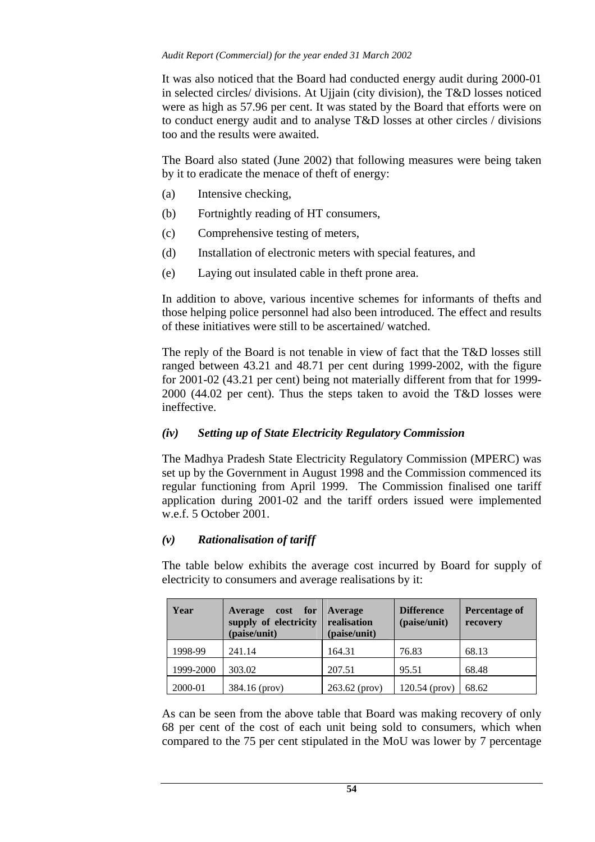It was also noticed that the Board had conducted energy audit during 2000-01 in selected circles/ divisions. At Ujjain (city division), the T&D losses noticed were as high as 57.96 per cent. It was stated by the Board that efforts were on to conduct energy audit and to analyse T&D losses at other circles / divisions too and the results were awaited.

The Board also stated (June 2002) that following measures were being taken by it to eradicate the menace of theft of energy:

- (a) Intensive checking,
- (b) Fortnightly reading of HT consumers,
- (c) Comprehensive testing of meters,
- (d) Installation of electronic meters with special features, and
- (e) Laying out insulated cable in theft prone area.

In addition to above, various incentive schemes for informants of thefts and those helping police personnel had also been introduced. The effect and results of these initiatives were still to be ascertained/ watched.

The reply of the Board is not tenable in view of fact that the T&D losses still ranged between 43.21 and 48.71 per cent during 1999-2002, with the figure for 2001-02 (43.21 per cent) being not materially different from that for 1999- 2000 (44.02 per cent). Thus the steps taken to avoid the T&D losses were ineffective.

## *(iv) Setting up of State Electricity Regulatory Commission*

The Madhya Pradesh State Electricity Regulatory Commission (MPERC) was set up by the Government in August 1998 and the Commission commenced its regular functioning from April 1999. The Commission finalised one tariff application during 2001-02 and the tariff orders issued were implemented w.e.f. 5 October 2001.

## *(v) Rationalisation of tariff*

The table below exhibits the average cost incurred by Board for supply of electricity to consumers and average realisations by it:

| Year      | cost for<br>Average<br>supply of electricity<br>(paise/unit) | Average<br>realisation<br>(paise/unit) | <b>Difference</b><br>(paise/unit) | Percentage of<br>recovery |
|-----------|--------------------------------------------------------------|----------------------------------------|-----------------------------------|---------------------------|
| 1998-99   | 241.14                                                       | 164.31                                 | 76.83                             | 68.13                     |
| 1999-2000 | 303.02                                                       | 207.51                                 | 95.51                             | 68.48                     |
| 2000-01   | 384.16 (prov)                                                | 263.62 (prov)                          | 120.54 (prov)                     | 68.62                     |

As can be seen from the above table that Board was making recovery of only 68 per cent of the cost of each unit being sold to consumers, which when compared to the 75 per cent stipulated in the MoU was lower by 7 percentage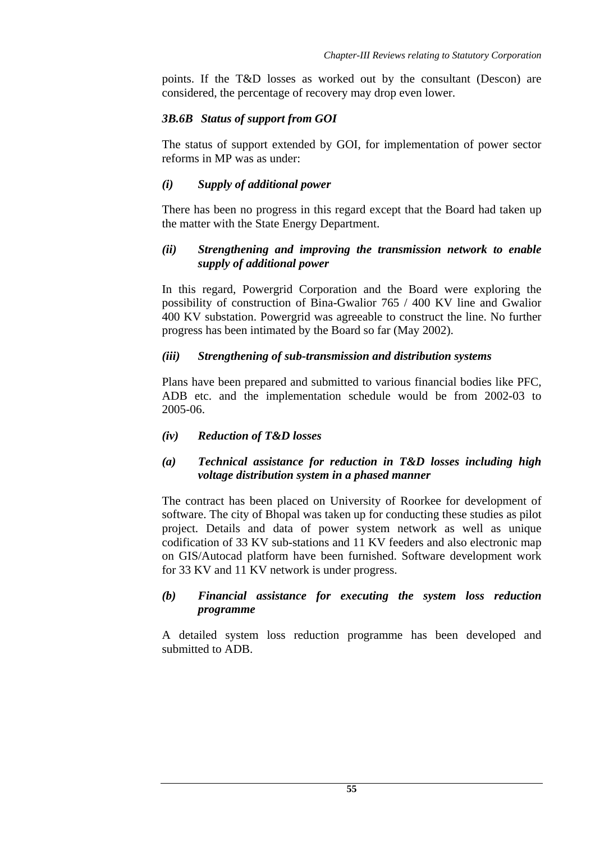points. If the T&D losses as worked out by the consultant (Descon) are considered, the percentage of recovery may drop even lower.

## *3B.6B Status of support from GOI*

The status of support extended by GOI, for implementation of power sector reforms in MP was as under:

# *(i) Supply of additional power*

There has been no progress in this regard except that the Board had taken up the matter with the State Energy Department.

# *(ii) Strengthening and improving the transmission network to enable supply of additional power*

In this regard, Powergrid Corporation and the Board were exploring the possibility of construction of Bina-Gwalior 765 / 400 KV line and Gwalior 400 KV substation. Powergrid was agreeable to construct the line. No further progress has been intimated by the Board so far (May 2002).

## *(iii) Strengthening of sub-transmission and distribution systems*

Plans have been prepared and submitted to various financial bodies like PFC, ADB etc. and the implementation schedule would be from 2002-03 to 2005-06.

## *(iv) Reduction of T&D losses*

## *(a) Technical assistance for reduction in T&D losses including high voltage distribution system in a phased manner*

The contract has been placed on University of Roorkee for development of software. The city of Bhopal was taken up for conducting these studies as pilot project. Details and data of power system network as well as unique codification of 33 KV sub-stations and 11 KV feeders and also electronic map on GIS/Autocad platform have been furnished. Software development work for 33 KV and 11 KV network is under progress.

#### *(b) Financial assistance for executing the system loss reduction programme*

A detailed system loss reduction programme has been developed and submitted to ADB.